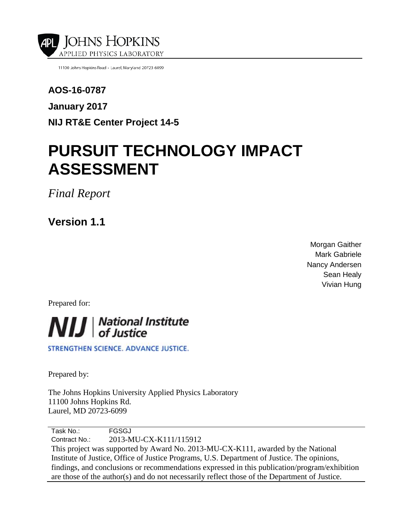



**The author(s) shown below used Federal funding provided by the U.S. Department of Justice to prepare the following resource:** 

| <b>Document Title:</b>  | <b>Pursuit Technology Impact Assessment,</b><br><b>Version 1.1</b>                     |
|-------------------------|----------------------------------------------------------------------------------------|
| Author(s):              | <b>Morgan Gaither, Mark Gabriele, Nancy</b><br><b>Andersen Sean Healy, Vivian Hung</b> |
| Document Number: 250549 |                                                                                        |
| <b>Date Received:</b>   | January 2017                                                                           |
| <b>Award Number:</b>    | 2013-MU-CX-K111                                                                        |

**This resource has not been published by the U.S. Department of Justice. This resource is being made publically available through the Office of Justice Programs' National Criminal Justice Reference Service.** 

**Opinions or points of view expressed are those of the author(s) and do not necessarily reflect the official position or policies of the U.S. Department of Justice.**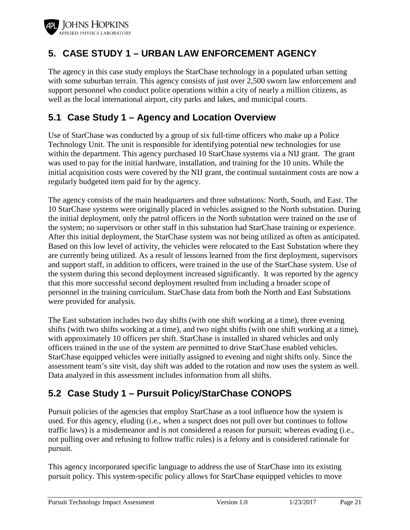

The analysis that follows entails four important caveats.

- 1. The probability of apprehension (for either vehicle or suspect) is assumed to be constant for all of the pursuit events. An example of the probability *not* being constant is if, given a proper tag deployment, some officers are better than others are at apprehending the suspect at the conclusion of a pursuit.
- 2. The analysis does not account for other factors that might affect the apprehension probability, such as weather, driving conditions, and suspect behavior.
- 3. Improper tag deployment is not the same as not using StarChase at all. As a result, one should not assume the apprehension probabilities under these two conditions are similar. As an example, consider an improper deployment in which a tag is fired, strikes the suspect vehicle, but bounces or falls off. Upon hearing the tag strike his/her vehicle, the suspect might believe he/she is being tracked and alter his/her behavior. This behavior could be different than if StarChase was not used at all (and the suspect had no reason to think he/she was being tracked).
- 4. For some pursuits, a second StarChase tag was fired because the first one either missed the suspect vehicle or failed to adhere. In these cases, the status of the second tag was considered. If it adhered to the vehicle and GPS tracking data was received, the pursuit event was counted as having a proper tag deployment.

Because of the limited data provided by the case study agencies, the study team had to make these assumptions in order to proceed with the analysis. If the user agencies believe the caveats are substantially violated, then more detailed data is required. For instance, if one has reason to think the pursuit outcome depends on the experience of the law enforcement officer, each pursuit event should include the officer's experience, e.g., number of years on the job.

## **4.7 Assumptions and Limitations**

- The StarChase system is a relatively new pursuit management technology that tags and tracks a fleeing vehicle. The technology has matured over the past several years, with Star Chase providing next generation system versions based on end-user feedback and StarChase internal research and development. As a result, the systems employed by the end-user agencies are of varying technology maturity.
- The analysis provided in this assessment is limited to qualitative and quantitative data available to the assessment team as provided by the end-user agencies.
- The quantitative analysis in this assessment does not account for factors that could affect the outcome of a pursuit other than those identified. Such factors might include weather, pursuit speed, and whether a suspect's driving behavior changes if he/she thinks his/her vehicle is tagged.
- This assessment is not intended to be a performance test or evaluation of the StarChase system.